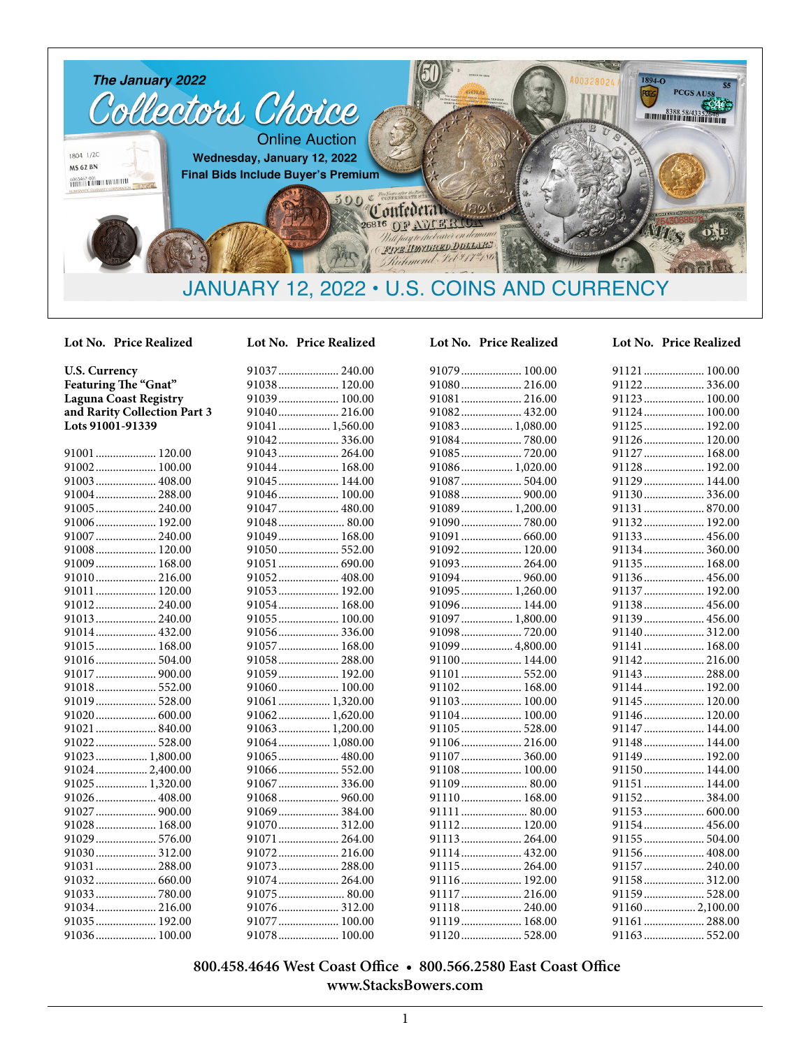

**U.S. Currency Featuring The "Gnat" Laguna Coast Registry and Rarity Collection Part 3 Lots 91001-91339**

| 91001  120.00   |
|-----------------|
| 91002 100.00    |
| 91003 408.00    |
| 91004 288.00    |
|                 |
| 91006 192.00    |
| 91007 240.00    |
| 91008 120.00    |
| 91009 168.00    |
| 91010 216.00    |
| 91011  120.00   |
|                 |
| 91013 240.00    |
| 91014 432.00    |
| 91015  168.00   |
| 91016 504.00    |
| 91017  900.00   |
| 91018 552.00    |
| 91019 528.00    |
| 91020 600.00    |
| 91021  840.00   |
|                 |
| 91023 1,800.00  |
| 91024  2,400.00 |
| 91025  1,320.00 |
| 91026 408.00    |
| 91027  900.00   |
| 91028 168.00    |
|                 |
| 91030 312.00    |
| 91031  288.00   |
|                 |
| 91033780.00     |
| 91034 216.00    |
| 91035 192.00    |
| 91036 100.00    |

| UL L'<br>NO. | .r<br>TICE Realized |
|--------------|---------------------|
|              |                     |
|              | 91038 120.00        |
|              | 91039 100.00        |
|              | 91040 216.00        |
|              | 91041  1,560.00     |
|              | 91042336.00         |
|              |                     |
|              | 91044 168.00        |
|              | 91045  144.00       |
|              | 91046 100.00        |
|              | 91047  480.00       |
|              | 91048 80.00         |
|              | 91049<br>168.00     |
|              | 91050 552.00        |
|              | 91051  690.00       |
|              | 91052 408.00        |
|              | 91053<br>192.00     |
|              | 91054 168.00        |
|              | 91055 100.00        |
|              | 91056336.00         |
|              | 91057  168.00       |
|              | 91058 288.00        |
|              | 91059 192.00        |
|              | 91060<br>100.00     |
|              | 91061  1,320.00     |
|              | 91062 1,620.00      |
|              | 91063 1,200.00      |
|              | 91064 1,080.00      |
|              | 91065  480.00       |
|              |                     |
|              | 91067  336.00       |
|              | 91068  960.00       |
|              | 91069384.00         |
|              | 91070 312.00        |
|              | 91071  264.00       |
|              | 91072 216.00        |
|              |                     |
|              | 91074 264.00        |
|              | 91075 80.00         |

91076..................... 312.00 91077..................... 100.00 91078..................... 100.00

#### 91079.............. 91080............... 91081............... 91082............... 91083............... 91084............... 91085............... 91086............... 91087............... 91088............... 91089............... 91090............... 91091..................... 660.00 91092............... 91093............... 91094................ 91095............... 91096............... 91097............... 91098................ 91099............... 91100............... 91101............... 91102............... 91103............... 91104............... 91105............... 91106............... 91107............... 91108............... 91109............... 91110.............. 91111............... 91112................ 91113................ 91114............... 91115............... 91116...............

#### **Lot No. Price Realized Lot No. Price Realized Lot No. Price Realized Lot No. Price Realized**

| 91079 100.00    | 91121  100.00  |  |
|-----------------|----------------|--|
| 91080 216.00    |                |  |
| 91081  216.00   | 91123 100.00   |  |
| 91082 432.00    | 91124 100.00   |  |
| 91083 1,080.00  | 91125 192.00   |  |
|                 | 91126 120.00   |  |
|                 | 91127  168.00  |  |
| 91086 1,020.00  | 91128 192.00   |  |
| 91087 504.00    | 91129 144.00   |  |
| 91088 900.00    | 91130 336.00   |  |
| 91089 1,200.00  | 91131  870.00  |  |
| 91090780.00     | 91132 192.00   |  |
| 91091  660.00   | 91133 456.00   |  |
| 91092 120.00    | 91134 360.00   |  |
| 91093  264.00   | 91135 168.00   |  |
| 91094  960.00   | 91136 456.00   |  |
| 91095 1,260.00  | 91137 192.00   |  |
| 91096 144.00    | 91138 456.00   |  |
| 91097  1,800.00 | 91139 456.00   |  |
| 91098720.00     | 91140 312.00   |  |
| 91099  4,800.00 | 91141  168.00  |  |
| 91100 144.00    | 91142 216.00   |  |
| 91101  552.00   | 91143  288.00  |  |
| 91102 168.00    | 91144  192.00  |  |
| 91103 100.00    | 91145  120.00  |  |
| 91104 100.00    | 91146 120.00   |  |
| 91105 528.00    | 91147  144.00  |  |
| 91106 216.00    | 91148 144.00   |  |
| 91107  360.00   | 91149 192.00   |  |
| 91108 100.00    | 91150 144.00   |  |
| 91109 80.00     | 91151  144.00  |  |
| 91110 168.00    |                |  |
| 91111  80.00    |                |  |
| 91112 120.00    | 91154  456.00  |  |
| 91113 264.00    | 91155  504.00  |  |
| 91114 432.00    | 91156 408.00   |  |
|                 | 91157  240.00  |  |
| 91116 192.00    | 91158 312.00   |  |
| 91117  216.00   | 91159 528.00   |  |
| 91118 240.00    | 91160 2,100.00 |  |
| 91119 168.00    | 91161  288.00  |  |
| 91120 528.00    | 91163 552.00   |  |
|                 |                |  |

#### **800.458.4646 West Coast Office • 800.566.2580 East Coast Office www.StacksBowers.com**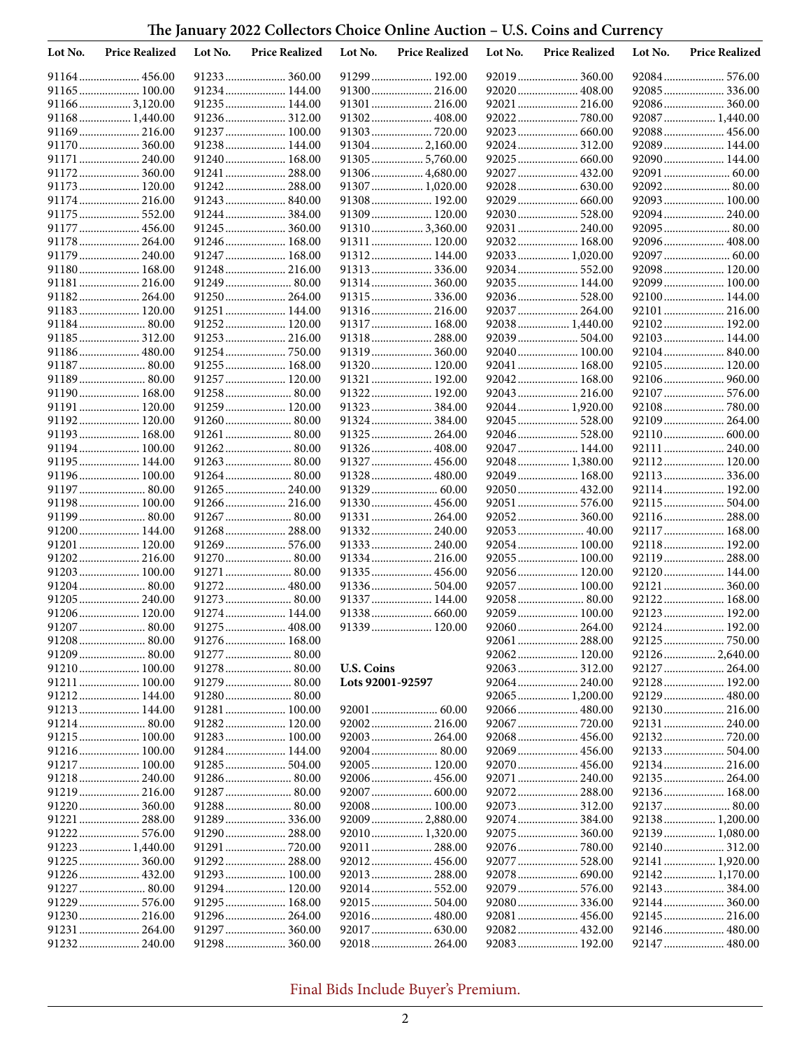# **The January 2022 Collectors Choice Online Auction – U.S. Coins and Currency**

| Lot No. | <b>Price Realized</b>        | Lot No. | <b>Price Realized</b>        | Lot No.           | <b>Price Realized</b>        | Lot No. | <b>Price Realized</b>         | Lot No. | <b>Price Realized</b>           |
|---------|------------------------------|---------|------------------------------|-------------------|------------------------------|---------|-------------------------------|---------|---------------------------------|
|         | 91164 456.00                 |         | 91233 360.00                 |                   | 91299 192.00                 |         | 92019 360.00                  |         | 92084 576.00                    |
|         | 91165 100.00                 |         | 91234 144.00                 |                   | 91300 216.00                 |         | 92020  408.00                 |         | 92085 336.00                    |
|         | 911663,120.00                |         | 91235 144.00                 |                   | 91301 216.00                 |         | 92021  216.00                 |         | 92086 360.00                    |
|         | 91168 1,440.00               |         | 91236 312.00                 |                   | 91302 408.00                 |         |                               |         | 92087  1,440.00                 |
|         | 91169 216.00                 |         | 91237 100.00                 |                   |                              |         |                               |         |                                 |
|         | 91170 360.00                 |         | 91238 144.00                 |                   | 91304 2,160.00               |         |                               |         | 92089 144.00                    |
|         | 91171  240.00                |         | 91240 168.00                 |                   | 91305 5,760.00               |         | 92025  660.00                 |         | 92090 144.00                    |
|         | 91172 360.00                 |         | 91241  288.00                |                   | 91306 4,680.00               |         | 92027  432.00                 |         |                                 |
|         | 91173 120.00<br>91174 216.00 |         | 91242 288.00<br>91243 840.00 |                   | 91307  1,020.00              |         | 92029  660.00                 |         | 92092 80.00<br>92093 100.00     |
|         | 91175  552.00                |         | 91244 384.00                 |                   | 91308 192.00<br>91309 120.00 |         | 92030 528.00                  |         | 92094 240.00                    |
|         | 91177  456.00                |         | 91245 360.00                 |                   | 913103,360.00                |         | 92031  240.00                 |         | 92095 80.00                     |
|         | 91178 264.00                 |         | 91246 168.00                 |                   | 91311 120.00                 |         | 92032 168.00                  |         | 92096 408.00                    |
|         | 91179  240.00                |         | 91247  168.00                |                   | 91312 144.00                 |         | 92033  1,020.00               |         | 92097  60.00                    |
|         | 91180 168.00                 |         | 91248 216.00                 |                   | 91313 336.00                 |         | 92034 552.00                  |         | 92098 120.00                    |
|         | 91181 216.00                 |         | 91249 80.00                  |                   | 91314 360.00                 |         | 92035 144.00                  |         | 92099 100.00                    |
|         | 91182 264.00                 |         | 91250 264.00                 |                   | 91315336.00                  |         | 92036 528.00                  |         | 92100 144.00                    |
|         | 91183 120.00                 |         | 91251  144.00                |                   | 91316 216.00                 |         | 92037  264.00                 |         | 92101  216.00                   |
|         | 91184 80.00                  |         | 91252 120.00                 |                   | 91317 168.00                 |         | 92038 1,440.00                |         | 92102 192.00                    |
|         | 91185 312.00                 |         | 91253 216.00                 |                   | 91318 288.00                 |         |                               |         | 92103 144.00                    |
|         | 91186 480.00                 |         | 91254750.00                  |                   | 91319 360.00                 |         | 92040 100.00                  |         | 92104 840.00                    |
|         |                              |         | 91255 168.00                 |                   | 91320 120.00                 |         | 92041  168.00                 |         | 92105 120.00                    |
|         | 91189 80.00                  |         | 91257 120.00                 |                   | 91321  192.00                |         | 92042 168.00                  |         | 92106 960.00                    |
|         | 91190 168.00                 |         | 91258 80.00                  |                   | 91322 192.00                 |         | 92043  216.00                 |         | 92107  576.00                   |
|         | 91191 120.00                 |         | 91259 120.00                 |                   | 91323384.00                  |         | 92044  1,920.00               |         | 92108780.00                     |
|         | 91192 120.00<br>91193 168.00 |         | 91261  80.00                 |                   |                              |         | 92045  528.00                 |         | 92110 600.00                    |
|         | 91194 100.00                 |         | 91262 80.00                  |                   | 91325 264.00<br>91326 408.00 |         | 92047  144.00                 |         | 92111  240.00                   |
|         | 91195 144.00                 |         | 91263 80.00                  |                   | 91327  456.00                |         | 92048  1,380.00               |         | 92112 120.00                    |
|         | 91196 100.00                 |         | 91264 80.00                  |                   | 91328  480.00                |         | 92049  168.00                 |         | 92113 336.00                    |
|         | 91197  80.00                 |         | 91265 240.00                 |                   |                              |         | 92050 432.00                  |         | 92114 192.00                    |
|         | 91198 100.00                 |         | 91266 216.00                 |                   | 91330 456.00                 |         | 92051  576.00                 |         | 92115  504.00                   |
|         | 91199 80.00                  |         |                              |                   | 91331  264.00                |         | 92052 360.00                  |         | 92116 288.00                    |
|         | 91200 144.00                 |         | 91268 288.00                 |                   | 91332 240.00                 |         | 92053 40.00                   |         | 92117  168.00                   |
|         | 91201  120.00                |         | 91269 576.00                 |                   | 91333 240.00                 |         | 92054 100.00                  |         | 92118 192.00                    |
|         | 91202 216.00                 |         | 91270 80.00                  |                   | 91334 216.00                 |         | 92055 100.00                  |         | 92119 288.00                    |
|         | 91203 100.00                 |         | 91271 80.00                  |                   | 91335 456.00                 |         | 92056 120.00                  |         | 92120 144.00                    |
|         | 91204 80.00                  |         | 91272 480.00                 |                   | 91336 504.00                 |         | 92057  100.00                 |         | 92121  360.00                   |
|         | 91205 240.00                 |         | 91273 80.00                  |                   | 91337 144.00                 |         |                               |         | 92122 168.00                    |
|         | 91206 120.00                 |         | 91274 144.00                 |                   | 91338 660.00                 |         | 92059 100.00                  |         | 92123 192.00                    |
|         | 91207  80.00                 |         | 91275 408.00                 |                   | 91339 120.00                 |         |                               |         | 92124 192.00                    |
|         | 91209 80.00                  |         | 91276 168.00                 |                   |                              |         | 92061  288.00                 |         |                                 |
|         | 91210 100.00                 |         | 91278 80.00                  | <b>U.S. Coins</b> |                              |         | 92062 120.00                  |         | 92126 2,640.00<br>92127  264.00 |
|         | 91211  100.00                |         | 91279 80.00                  | Lots 92001-92597  |                              |         | 92064 240.00                  |         | 92128 192.00                    |
|         | 91212 144.00                 |         |                              |                   |                              |         | 92065 1,200.00                |         | 92129  480.00                   |
|         | 91213 144.00                 |         | 91281  100.00                |                   |                              |         | 92066  480.00                 |         | 92130 216.00                    |
|         |                              |         | 91282 120.00                 |                   | 92002 216.00                 |         | 92067  720.00                 |         | 92131  240.00                   |
|         | 91215 100.00                 |         | 91283 100.00                 |                   | 92003 264.00                 |         | 92068 456.00                  |         | 92132 720.00                    |
|         | 91216 100.00                 |         | 91284 144.00                 |                   |                              |         | 92069 456.00                  |         | 92133 504.00                    |
|         | 91217  100.00                |         |                              |                   | 92005 120.00                 |         |                               |         | 92134 216.00                    |
|         |                              |         |                              |                   | 92006 456.00                 |         | 92071  240.00                 |         | 92135 264.00                    |
|         | 91219 216.00                 |         | 91287 80.00                  |                   |                              |         | 92072 288.00                  |         | 92136 168.00                    |
|         |                              |         |                              |                   | 92008 100.00                 |         |                               |         |                                 |
|         | 91221  288.00                |         |                              |                   | 92009  2,880.00              |         |                               |         | 92138 1,200.00                  |
|         | 91222 576.00                 |         | 91290 288.00                 |                   | 92010 1,320.00               |         | 92075  360.00                 |         | 92139  1,080.00                 |
|         | 91223  1,440.00              |         |                              |                   | 92011 288.00                 |         |                               |         | 92140 312.00                    |
|         | 91225  360.00                |         | 91292 288.00                 |                   |                              |         | 92077  528.00                 |         | 92141  1,920.00                 |
|         | 91227  80.00                 |         | 91293 100.00<br>91294 120.00 |                   | 92013 288.00                 |         | 92078 690.00<br>92079  576.00 |         | 92142 1,170.00                  |
|         | 91229  576.00                |         | 91295 168.00                 |                   |                              |         | 92080 336.00                  |         | 92144 360.00                    |
|         | 91230 216.00                 |         | 91296 264.00                 |                   |                              |         | 92081  456.00                 |         |                                 |
|         | 91231  264.00                |         | 91297 360.00                 |                   | 92017  630.00                |         |                               |         | 92146 480.00                    |
|         | 91232 240.00                 |         | 91298 360.00                 |                   | 92018 264.00                 |         | 92083 192.00                  |         | 92147  480.00                   |
|         |                              |         |                              |                   |                              |         |                               |         |                                 |

# Final Bids Include Buyer's Premium.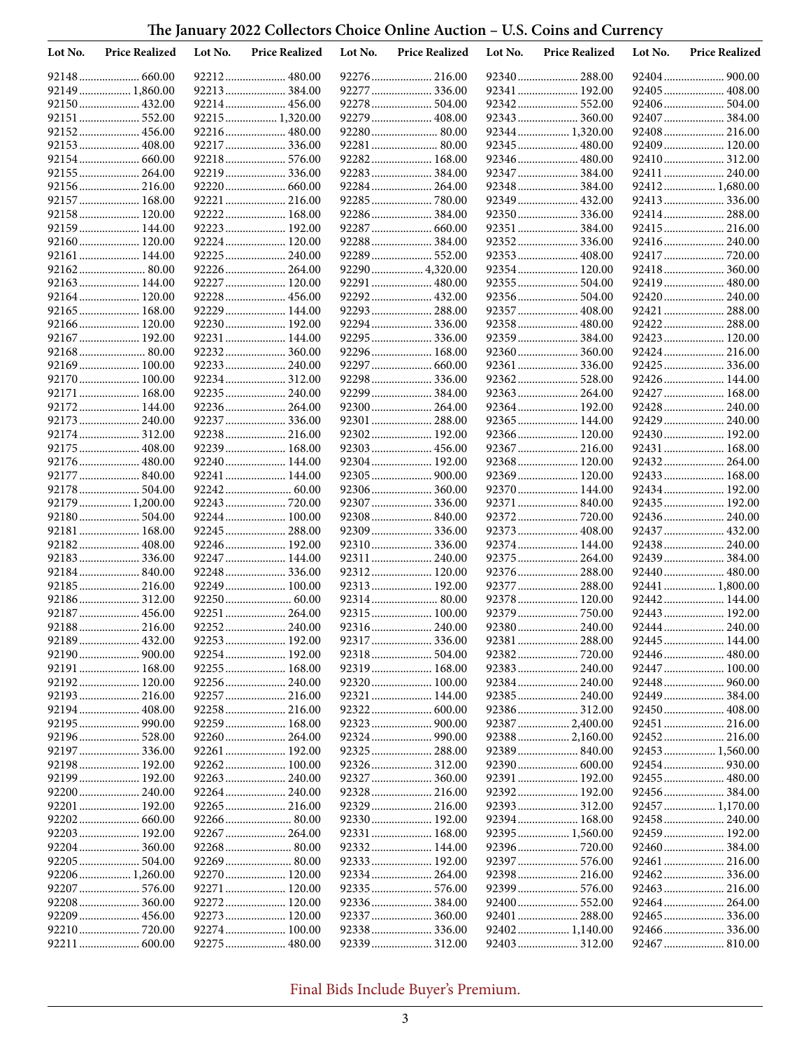# **The January 2022 Collectors Choice Online Auction – U.S. Coins and Currency**

| Lot No. | <b>Price Realized</b>          | Lot No. | <b>Price Realized</b>        | Lot No. | <b>Price Realized</b>         | Lot No. | <b>Price Realized</b>         | Lot No. | <b>Price Realized</b>           |
|---------|--------------------------------|---------|------------------------------|---------|-------------------------------|---------|-------------------------------|---------|---------------------------------|
|         |                                |         | 92212 480.00                 |         | 92276 216.00                  |         | 92340  288.00                 |         | 92404  900.00                   |
|         | 92149  1,860.00                |         | 92213 384.00                 |         | 92277  336.00                 |         | 92341  192.00                 |         | 92405  408.00                   |
|         | 92150 432.00                   |         | 92214 456.00                 |         | 92278  504.00                 |         |                               |         | 92406 504.00                    |
|         | 92151  552.00                  |         | 92215 1,320.00               |         | 92279  408.00                 |         | 92343  360.00                 |         | 92407  384.00                   |
|         | 92152 456.00                   |         | 92216 480.00                 |         | 92280 80.00                   |         | 92344  1,320.00               |         | 92408 216.00                    |
|         | 92153  408.00                  |         | 92217 336.00                 |         | 92281  80.00                  |         |                               |         | 92409 120.00                    |
|         |                                |         | 92218 576.00                 |         | 92282 168.00                  |         | 92346  480.00                 |         | 92410 312.00                    |
|         | 92155  264.00<br>92156 216.00  |         | 92219336.00<br>92220 660.00  |         | 92283 384.00<br>92284  264.00 |         | 92347  384.00                 |         | 92411  240.00<br>92412 1,680.00 |
|         | 92157  168.00                  |         | 92221  216.00                |         | 92285  780.00                 |         | 92349  432.00                 |         | 92413 336.00                    |
|         | 92158 120.00                   |         | 92222 168.00                 |         |                               |         |                               |         | 92414 288.00                    |
|         | 92159 144.00                   |         | 92223 192.00                 |         | 92287  660.00                 |         | 92351  384.00                 |         | 92415 216.00                    |
|         | 92160 120.00                   |         | 92224 120.00                 |         | 92288  384.00                 |         |                               |         | 92416 240.00                    |
|         | 92161 144.00                   |         | 92225 240.00                 |         | 92289  552.00                 |         | 92353  408.00                 |         |                                 |
|         |                                |         | 92226 264.00                 |         | 92290  4,320.00               |         | 92354  120.00                 |         |                                 |
|         | 92163  144.00                  |         | 92227  120.00                |         | 92291  480.00                 |         | 92355  504.00                 |         | 92419  480.00                   |
|         | 92164 120.00                   |         | 92228 456.00                 |         | 92292 432.00                  |         | 92356 504.00                  |         | 92420  240.00                   |
|         | 92165  168.00                  |         | 92229 144.00                 |         | 92293  288.00                 |         | 92357  408.00                 |         | 92421  288.00                   |
|         | 92166 120.00                   |         | 92230 192.00                 |         | 92294  336.00                 |         | 92358  480.00                 |         | 92422 288.00                    |
|         | 92167  192.00                  |         | 92231  144.00                |         | 92295  336.00                 |         | 92359  384.00                 |         | 92423  120.00                   |
|         | 92168 80.00                    |         | 92232 360.00                 |         | 92296 168.00                  |         | 92360 360.00                  |         | 92424 216.00                    |
|         | 92169  100.00                  |         | 92233 240.00                 |         | 92297  660.00                 |         |                               |         | 92425  336.00                   |
|         | 92170 100.00                   |         | 92234 312.00                 |         | 92298 336.00                  |         |                               |         | 92426 144.00                    |
|         | 92171  168.00                  |         | 92235 240.00                 |         | 92299  384.00                 |         | 92363  264.00                 |         | 92427  168.00                   |
|         | 92172 144.00                   |         | 92236 264.00                 |         | 92300  264.00                 |         | 92364 192.00                  |         | 92428  240.00                   |
|         | 92173  240.00                  |         |                              |         | 92301  288.00                 |         | 92365  144.00                 |         | 92429  240.00                   |
|         | 92174 312.00                   |         | 92238 216.00                 |         | 92302 192.00                  |         | 92366 120.00                  |         | 92430 192.00                    |
|         | 92175  408.00<br>92176  480.00 |         | 92239 168.00<br>92240 144.00 |         | 92303 456.00<br>92304 192.00  |         | 92367  216.00                 |         | 92431  168.00<br>92432 264.00   |
|         | 92177  840.00                  |         | 92241  144.00                |         | 92305  900.00                 |         | 92368 120.00<br>92369  120.00 |         | 92433 168.00                    |
|         | 92178  504.00                  |         |                              |         |                               |         | 92370  144.00                 |         | 92434 192.00                    |
|         | 92179  1,200.00                |         |                              |         | 92307  336.00                 |         | 92371  840.00                 |         | 92435 192.00                    |
|         | 92180 504.00                   |         | 92244 100.00                 |         | 92308 840.00                  |         |                               |         | 92436 240.00                    |
|         | 92181 168.00                   |         | 92245  288.00                |         | 92309  336.00                 |         | 92373  408.00                 |         | 92437  432.00                   |
|         | 92182 408.00                   |         | 92246 192.00                 |         |                               |         | 92374  144.00                 |         | 92438 240.00                    |
|         | 92183 336.00                   |         | 92247  144.00                |         | 92311 240.00                  |         | 92375  264.00                 |         | 92439  384.00                   |
|         | 92184840.00                    |         | 92248 336.00                 |         | 92312 120.00                  |         | 92376  288.00                 |         | 92440 480.00                    |
|         | 92185  216.00                  |         | 92249 100.00                 |         | 92313 192.00                  |         | 92377  288.00                 |         | 92441  1,800.00                 |
|         | 92186 312.00                   |         | 92250 60.00                  |         | 92314 80.00                   |         | 92378 120.00                  |         | 92442 144.00                    |
|         | 92187  456.00                  |         | 92251  264.00                |         | 92315 100.00                  |         |                               |         | 92443  192.00                   |
|         | 92188 216.00                   |         |                              |         |                               |         | 92380 240.00                  |         | 92444 240.00                    |
|         |                                |         |                              |         |                               |         | 92381  288.00                 |         | 92445 144.00                    |
|         |                                |         |                              |         |                               |         |                               |         |                                 |
|         | 92191  168.00                  |         | 92255 168.00                 |         | 92319 168.00                  |         | 92383 240.00                  |         | 92447 100.00                    |
|         | 92192 120.00                   |         |                              |         |                               |         | 92384 240.00                  |         | 92448  960.00                   |
|         |                                |         |                              |         | 92321  144.00                 |         | 92385 240.00<br>92386 312.00  |         |                                 |
|         | 92195  990.00                  |         | 92259 168.00                 |         | 92323  900.00                 |         | 92387  2,400.00               |         |                                 |
|         | 92196 528.00                   |         |                              |         |                               |         | 92388 2,160.00                |         | 92452 216.00                    |
|         | 92197  336.00                  |         |                              |         |                               |         | 92389  840.00                 |         | 92453  1,560.00                 |
|         | 92198 192.00                   |         | 92262 100.00                 |         |                               |         |                               |         |                                 |
|         | 92199  192.00                  |         | 92263 240.00                 |         |                               |         | 92391  192.00                 |         | 92455  480.00                   |
|         | 92200 240.00                   |         | 92264 240.00                 |         | 92328  216.00                 |         | 92392 192.00                  |         | 92456 384.00                    |
|         | 92201  192.00                  |         |                              |         |                               |         |                               |         | 92457  1,170.00                 |
|         |                                |         | 92266 80.00                  |         | 92330 192.00                  |         | 92394  168.00                 |         |                                 |
|         | 92203 192.00                   |         | 92267  264.00                |         | 92331  168.00                 |         | 92395  1,560.00               |         | 92459  192.00                   |
|         | 92204 360.00                   |         |                              |         | 92332 144.00                  |         |                               |         |                                 |
|         |                                |         |                              |         |                               |         |                               |         |                                 |
|         | 92206 1,260.00                 |         | 92270 120.00                 |         | 92334  264.00                 |         | 92398 216.00                  |         |                                 |
|         |                                |         | 92271 120.00                 |         |                               |         | 92399  576.00                 |         |                                 |
|         | 92208 360.00                   |         | 92272 120.00                 |         | 92336 384.00                  |         |                               |         |                                 |
|         | 92209  456.00                  |         | 92273 120.00                 |         | 92337  360.00                 |         | 92401  288.00                 |         |                                 |
|         |                                |         | 92274 100.00                 |         |                               |         | 92402 1,140.00                |         |                                 |
|         | 92211  600.00                  |         | 92275 480.00                 |         |                               |         |                               |         | 92467  810.00                   |

# Final Bids Include Buyer's Premium.